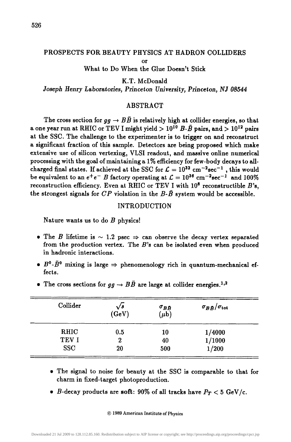# PROSPECTS FOR BEAUTY PHYSICS AT HADRON COLLIDERS

or

What to Do When the Glue Doesn't Stick

K.T. McDonald

*Joseph Henry Laboratories, Princeton University, Princeton, NJ 08544* 

#### ABSTRACT

The cross section for  $q\bar{q} \rightarrow B\bar{B}$  is relatively high at collider energies, so that a one year run at RHIC or TEV I might yield  $> 10^{10}$  B- $\bar{B}$  pairs, and  $> 10^{12}$  pairs at the SSC. The challenge to the experimenter is to trigger on and reconstruct a significant fraction of this sample. Detectors are being proposed which make extensive use of silicon vertexing, VLSI readout, and massive online numerical processing with the goal of maintaining a 1% efficiency for few-body decays to allcharged final states. If achieved at the SSC for  $\mathcal{L} = 10^{32}$  cm<sup>-2</sup>sec<sup>-1</sup>, this would be equivalent to an  $e^+e^-$  B factory operating at  $\mathcal{L} = 10^{36}$  cm<sup>-2</sup>sec<sup>-1</sup> and 100% reconstruction efficiency. Even at RHIC or TEV I with  $10^8$  reconstructible  $B$ 's. the strongest signals for  $CP$  violation in the  $B\text{-}\bar{B}$  system would be accessible.

# INTRODUCTION

Nature wants us to do  $B$  physics!

- The B lifetime is  $\sim$  1.2 psec  $\Rightarrow$  can observe the decay vertex separated from the production vertex. The  $B$ 's can be isolated even when produced in hadronic interactions.
- $B^0$ - $\bar{B}^0$  mixing is large  $\Rightarrow$  phenomenology rich in quantum-mechanical effects.

| Collider    | $\sqrt{s}$<br>(GeV) | $\sigma_{BB}$<br>$(\mu b)$ | $\sigma_{B\bar B}/\sigma_{\rm tot}$ |
|-------------|---------------------|----------------------------|-------------------------------------|
| <b>RHIC</b> | 0.5                 | 10                         | 1/4000                              |
| TEV I       | 2                   | 40                         | 1/1000                              |
| <b>SSC</b>  | 20                  | 500                        | 1/200                               |

• The cross sections for  $gg \to B\bar{B}$  are large at collider energies.<sup>1,2</sup>

- i The signal to noise for beauty at the SSC is comparable to that for charm in fixed-target photoproduction.
- *B*-decay products are soft: 90% of all tracks have  $P_T < 5$  GeV/c.

#### © 1989 American Institute of Physics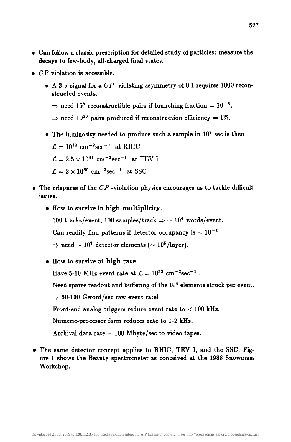- Can follow a classic prescription for detailed study of particles: measure the decays to few-body, all-charged final states.
- $\bullet$  CP violation is accessible.
	- A  $3-\sigma$  signal for a  $CP$  -violating asymmetry of 0.1 requires 1000 reconstructed events.
		- $\Rightarrow$  need 10<sup>8</sup> reconstructible pairs if branching fraction = 10<sup>-5</sup>.
		- $\Rightarrow$  need 10<sup>10</sup> pairs produced if reconstruction efficiency = 1%.
	- The luminosity needed to produce such a sample in  $10^7$  sec is then

 $\mathcal{L} = 10^{32}$  cm<sup>-2</sup>sec<sup>-1</sup> at RHIC  $\mathcal{L} = 2.5 \times 10^{31}$  cm<sup>-2</sup>sec<sup>-1</sup> at TEV I  $\mathcal{L}=2\times10^{30}$  cm<sup>-2</sup>sec<sup>-1</sup> at SSC

- The crispness of the *CP* -violation physics encourages us to tackle difficult issues.
	- How to survive in high multiplicity. 100 tracks/event; 100 samples/track  $\Rightarrow$  ~ 10<sup>4</sup> words/event. Can readily find patterns if detector occupancy is  $\sim 10^{-3}$ .  $\Rightarrow$  need  $\sim 10^7$  detector elements ( $\sim 10^5$ /layer).
	- How to survive at high rate.

Have 5-10 MHz event rate at  $\mathcal{L} = 10^{32}$  cm<sup>-2</sup>sec<sup>-1</sup>.

Need sparse readout and buffering of the 10<sup>4</sup> elements struck per event.

 $\Rightarrow$  50-100 Gword/sec raw event rate!

Front-end analog triggers reduce event rate to  $< 100$  kHz.

Numeric-processor farm reduces rate to 1-2 kHz.

Archival data rate  $\sim$  100 Mbyte/sec to video tapes.

• The same detector concept applies to RHIC, TEV I, and the SSC. Figure 1 shows the Beauty spectrometer as conceived at the 1988 Snowmass Workshop.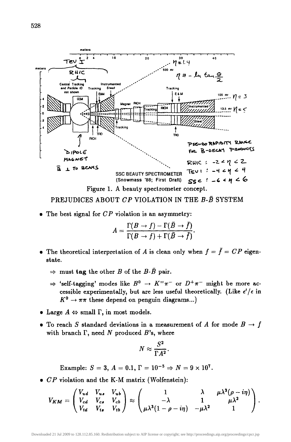

PREJUDICES ABOUT *CP* VIOLATION IN THE B-B SYSTEM

The best signal for *CP* violation is an asymmetry:

$$
A = \frac{\Gamma(B \to f) - \Gamma(\bar{B} \to \bar{f})}{\Gamma(B \to f) + \Gamma(\bar{B} \to \bar{f})}.
$$

- The theoretical interpretation of A is clean only when  $f = \overline{f} = CP$  eigenstate.
	- $\Rightarrow$  must tag the other B of the B- $\bar{B}$  pair.
	- $\Rightarrow$  'self-tagging' modes like  $B^0 \rightarrow K^{\pm} \pi^-$  or  $D^+ \pi^-$  might be more accessible experimentally, but are less useful theoretically. (Like  $\epsilon'/\epsilon$  in  $K^0 \rightarrow \pi \pi$  these depend on penguin diagrams...)
- Large  $A \Leftrightarrow$  small  $\Gamma$ , in most models.
- To reach S standard deviations in a measurement of A for mode  $B \to f$ with branch  $\Gamma$ , need N produced  $B$ 's, where

$$
N \approx \frac{S^2}{\Gamma A^2}.
$$

Example:  $S=3$ ,  $A=0.1$ ,  $\Gamma=10^{-5} \Rightarrow N=9\times 10^7$ .

*• CP* violation and the K-M matrix (Wolfenstein):

$$
V_{KM} = \begin{pmatrix} V_{ud} & V_{us} & V_{ub} \\ V_{cd} & V_{cs} & V_{cb} \\ V_{td} & V_{ts} & V_{tb} \end{pmatrix} \approx \begin{pmatrix} 1 & \lambda & \mu \lambda^3 (\rho - i\eta) \\ -\lambda & 1 & \mu \lambda^2 \\ \mu \lambda^3 (1 - \rho - i\eta) & -\mu \lambda^2 & 1 \end{pmatrix}.
$$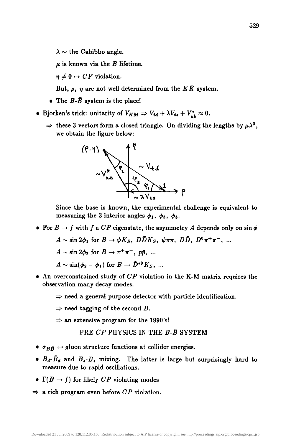$\lambda \sim$  the Cabibbo angle.

 $\mu$  is known via the B lifetime.

 $\eta \neq 0 \leftrightarrow CP$  violation.

But,  $\rho$ ,  $\eta$  are not well determined from the  $K\bar{K}$  system.

- The  $B \bar{B}$  system is the place!
- Bjorken's trick: unitarity of  $V_{KM} \Rightarrow V_{td} + \lambda V_{ts} + V_{ub}^* \approx 0$ .
	- $\Rightarrow$  these 3 vectors form a closed triangle. On dividing the lengths by  $\mu\lambda^3$ , we obtain the figure below:



Since the base is known, the experimental challenge is equivalent to measuring the 3 interior angles  $\phi_1$ ,  $\phi_3$ ,  $\phi_3$ .

• For  $B \to f$  with f a *CP* eigenstate, the asymmetry A depends only on  $\sin \phi$ 

$$
A \sim \sin 2\phi_1 \text{ for } B \to \psi K_S, \ D\bar{D}K_S, \ \psi \pi \pi, \ D\bar{D}, \ D^0 \pi^+ \pi^-, \ \dots
$$

 $A \sim \sin 2\phi_2$  for  $B \to \pi^+\pi^-$ ,  $p\bar{p}$ , ...

$$
A \sim \sin(\phi_2 - \phi_1) \text{ for } B \to \bar{D}^{*0}K_S, \dots
$$

- An overconstrained study of *CP* violation in the K-M matrix requires the observation many decay modes.
	- $\Rightarrow$  need a general purpose detector with particle identification.
	- $\Rightarrow$  need tagging of the second B.
	- $\Rightarrow$  an extensive program for the 1990's!

# **PRE-CP PHYSICS IN THE B-B SYSTEM**

- $\sigma_{B\bar{B}} \leftrightarrow$  gluon structure functions at collider energies.
- $B_d \bar{B}_d$  and  $B_s \bar{B}_s$  mixing. The latter is large but surprisingly hard to measure due to rapid oscillations.
- $\Gamma(B \to f)$  for likely *CP* violating modes
- $\Rightarrow$  a rich program even before *CP* violation.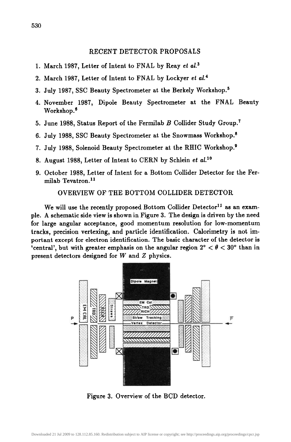#### RECENT DETECTOR PROPOSALS

- 1. March 1987, Letter of Intent to FNAL by Reay *et al. 3*
- 2. March 1987, Letter of Intent to FNAL by Lockyer *et al. 4*
- 3. July 1987, SSC Beauty Spectrometer at the Berkely Workshop. 5
- 4. November 1987, Dipole Beauty Spectrometer at the FNAL Beauty Workshop.<sup>6</sup>
- 5. June 1988, Status Report of the Fermilab  $B$  Collider Study Group.<sup>7</sup>
- 6. July 1988, SSC Beauty Spectrometer at the Snowmass Workshop. 8
- 7. July 1988, Solenoid Beauty Spectrometer at the RHIC Workshop.<sup>9</sup>
- 8. August 1988, Letter of Intent to CERN by Schlein *et al. ]°*
- 9. October 1988, Letter of Intent for a Bottom Collider Detector for the Fermilab Tevatron. $11$

OVERVIEW OF THE BOTTOM COLLIDER DETECTOR

We will use the recently proposed Bottom Collider Detector<sup>11</sup> as an example. A schematic side view is shown in Figure 3. The design is driven by the need for large angular acceptance, good momentum resolution for low-momentum tracks, precision vertexing, and particle identification. Calorimetry is not important except for electron identification. The basic character of the detector is 'central', but with greater emphasis on the angular region  $2^{\circ} < \theta < 30^{\circ}$  than in present detectors designed for W and Z physics.



Figure 3. Overview of the BCD detector.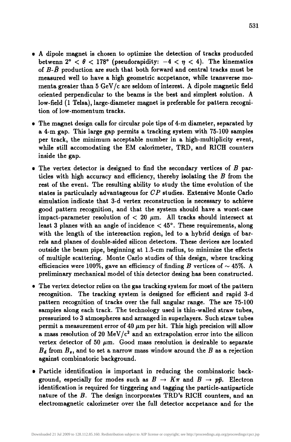- A dipole magnet is chosen to optimize the detection of tracks producded betwenn  $2^{\circ} < \theta < 178^{\circ}$  (pseudorapidity:  $-4 < \eta < 4$ ). The kinematics of  $B$ - $\bar{B}$  production are such that both forward and central tracks must be measured well to have a high geometric accpetance, while transverse momenta greater than 5 GeV/c are seldom of interest. A dipole magnetic field oriented perpendicular to the beams is the best and simplest solution. A low-field (1 Telsa), large-diameter magnet is preferable for pattern recognition of low-momentum tracks.
- The magnet design calls for circular pole tips of 4-m diameter, separated by a 4-m gap. This large gap permits a tracking system with 75-100 samples per track, the minimum acceptable number in a high-multiplicity event, while still accomodating the EM calorimeter, TRD, and RICH counters inside the gap.
- The vertex detector is designed to find the secondary vertices of  $B$  particles with high accuracy and efficiency, thereby isolating the B from the rest of the event. The resulting ability to study the time evolution of the states is particularly advantageous for *CP* studies. Extensive Monte Carlo simulation indicate that 3-d vertex reconstruction is necessary to achieve good pattern recognition, and that the system should have a worst-case impact-parameter resolution of  $< 20 \mu m$ . All tracks should intersect at least 3 planes with an angle of incidence  $<$  45 $^{\circ}$ . These requirements, along with the length of the intereaction region, led to a hybrid design of barrels and planes of double-sided silicon detectors. These devices are located outside the beam pipe, beginning at 1.5-cm radius, to minimize the effects of multiple scattering. Monte Carlo studies of this design, where tracking efficiencies were 100%, gave an efficiency of finding B vertices of  $\sim$  45%. A preliminary mechanical model of this detector desing has been constructed.
- The vertex detector relies on the gas tracking system for most of the pattern recognition. The tracking system is designed for efficient and rapid 3-d pattern recognition of tracks over the full angular range. The are 75-100 samples along each track. The technology used is thin-walled straw tubes, pressurized to 3 atmospheres and arranged in superlayers. Such straw tubes permit a measurement error of 40  $\mu$ m per hit. This high precision will allow a mass resolution of 20 MeV/ $c<sup>2</sup>$  and an extrapolation error into the silicon vertex detector of 50  $\mu$ m. Good mass resolution is desirable to separate  $B_d$  from  $B_s$ , and to set a narrow mass window around the B as a rejection against combinatoric background.
- Particle identification is important in reducing the combinatoric background, especially for modes such as  $B \to K\pi$  and  $B \to p\bar{p}$ . Electron identification is required for tirggering and tagging the particle-antiparticle nature of the B. The design incorporates TRD's RICH counters, and an electromagnetic calorimeter over the full detector accpetance and for the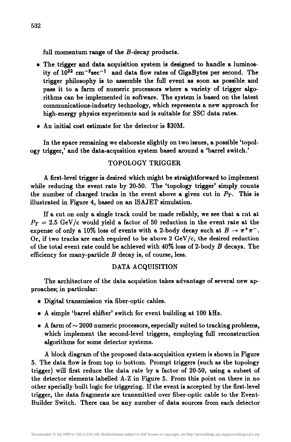full momentum range of the B-decay products.

- The trigger and data acquisition system is designed to handle a luminosity of  $10^{32}$  cm<sup>-2</sup>sec<sup>-1</sup> and data flow rates of GigaBytes per second. The trigger philosophy is to assemble the full event as soon as possible and pass it to a farm of numeric processors where a variety of trigger algorithms can be implemented in software. The system is based on the latest communications-industry technology, which represents a new approach for high-energy physics experiments and is suitable for SSC data rates.
- An initial cost estimate for the detector is \$30M.

In the space remaining we daborate slightly on two issues, a possible 'topology trigger,' and the data-acqusition system based around a 'barrel switch.'

# TOPOLOGY TRIGGER

A first-level trigger is desired which might be straightforward to implement while reducing the event rate by 20-50. The 'topology trigger' simply counts the number of charged tracks in the event above a given cut in  $P_T$ . This is iUustrated in Figure 4, based on an ISAJET simulation.

If a cut on only a single track could be made reliably, we see that a cut at  $P_T = 2.5$  GeV/c would yield a factor of 50 reduction in the event rate at the expense of only a 10% loss of events with a 2-body decay such at  $B \to \pi^+\pi^-$ . Or, if two tracks are each required to be above 2 GeV/c, the desired reduction of the total event rate could be achieved with  $40\%$  loss of 2-body B decays. The efficiency for many-particle  $B$  decay is, of course, less.

#### DATA ACQUISITION

The architecture of the data acquistion takes advantage of several new approaches; in particular:

- Digital transmission via fiber-optic cables.
- A simple 'barrel shifter' switch for event building at 100 kHz.
- A farm of  $\sim 2000$  numeric processors, especially suited to tracking problems, which implement the second-level triggers, employing full reconstruction algorithms for some detector systems.

A block diagram of the proposed data-acquisition system is shown in Figure 5. The data flow is from top to bottom. Prompt triggers (such as the topology trigger) will first reduce the data rate by a factor of 20-50, using a subset of the detector elements labelled A-Z in Figure 5. From this point on there in no other specially built logic for triggering. If the event is accepted by the first-level trigger, the data fragments are transmitted over fiber-optic cable to the Event-Builder Switch. There can be any number of data sources from each detector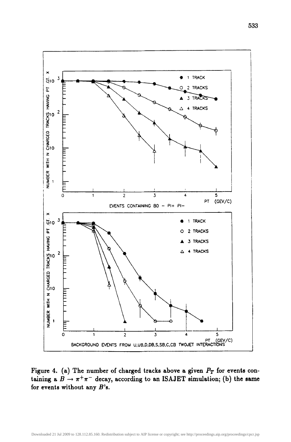

Figure 4. (a) The number of charged tracks above a given  $P_T$  for events containing a  $B \to \pi^+\pi^-$  decay, according to an ISAJET simulation; (b) the same for events without any  $B$ 's.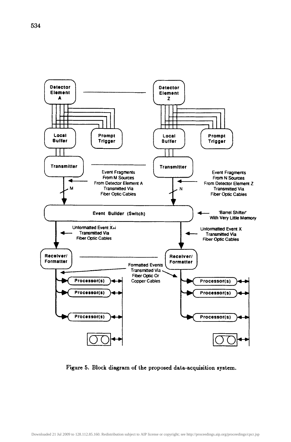

Figure 5. Block diagram of the proposed data-acquisition system.